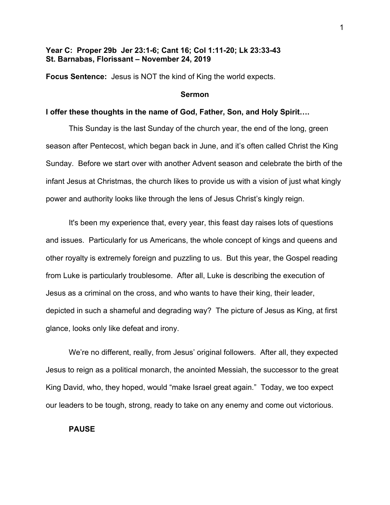# **Year C: Proper 29b Jer 23:1-6; Cant 16; Col 1:11-20; Lk 23:33-43 St. Barnabas, Florissant – November 24, 2019**

**Focus Sentence:** Jesus is NOT the kind of King the world expects.

### **Sermon**

## **I offer these thoughts in the name of God, Father, Son, and Holy Spirit….**

This Sunday is the last Sunday of the church year, the end of the long, green season after Pentecost, which began back in June, and it's often called Christ the King Sunday. Before we start over with another Advent season and celebrate the birth of the infant Jesus at Christmas, the church likes to provide us with a vision of just what kingly power and authority looks like through the lens of Jesus Christ's kingly reign.

It's been my experience that, every year, this feast day raises lots of questions and issues. Particularly for us Americans, the whole concept of kings and queens and other royalty is extremely foreign and puzzling to us. But this year, the Gospel reading from Luke is particularly troublesome. After all, Luke is describing the execution of Jesus as a criminal on the cross, and who wants to have their king, their leader, depicted in such a shameful and degrading way? The picture of Jesus as King, at first glance, looks only like defeat and irony.

We're no different, really, from Jesus' original followers. After all, they expected Jesus to reign as a political monarch, the anointed Messiah, the successor to the great King David, who, they hoped, would "make Israel great again." Today, we too expect our leaders to be tough, strong, ready to take on any enemy and come out victorious.

#### **PAUSE**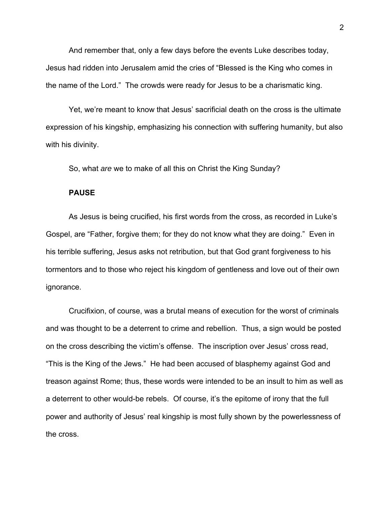And remember that, only a few days before the events Luke describes today, Jesus had ridden into Jerusalem amid the cries of "Blessed is the King who comes in the name of the Lord." The crowds were ready for Jesus to be a charismatic king.

Yet, we're meant to know that Jesus' sacrificial death on the cross is the ultimate expression of his kingship, emphasizing his connection with suffering humanity, but also with his divinity.

So, what *are* we to make of all this on Christ the King Sunday?

#### **PAUSE**

As Jesus is being crucified, his first words from the cross, as recorded in Luke's Gospel, are "Father, forgive them; for they do not know what they are doing." Even in his terrible suffering, Jesus asks not retribution, but that God grant forgiveness to his tormentors and to those who reject his kingdom of gentleness and love out of their own ignorance.

Crucifixion, of course, was a brutal means of execution for the worst of criminals and was thought to be a deterrent to crime and rebellion. Thus, a sign would be posted on the cross describing the victim's offense. The inscription over Jesus' cross read, "This is the King of the Jews." He had been accused of blasphemy against God and treason against Rome; thus, these words were intended to be an insult to him as well as a deterrent to other would-be rebels. Of course, it's the epitome of irony that the full power and authority of Jesus' real kingship is most fully shown by the powerlessness of the cross.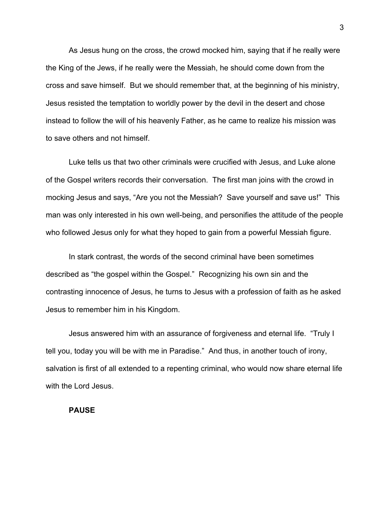As Jesus hung on the cross, the crowd mocked him, saying that if he really were the King of the Jews, if he really were the Messiah, he should come down from the cross and save himself. But we should remember that, at the beginning of his ministry, Jesus resisted the temptation to worldly power by the devil in the desert and chose instead to follow the will of his heavenly Father, as he came to realize his mission was to save others and not himself.

Luke tells us that two other criminals were crucified with Jesus, and Luke alone of the Gospel writers records their conversation. The first man joins with the crowd in mocking Jesus and says, "Are you not the Messiah? Save yourself and save us!" This man was only interested in his own well-being, and personifies the attitude of the people who followed Jesus only for what they hoped to gain from a powerful Messiah figure.

In stark contrast, the words of the second criminal have been sometimes described as "the gospel within the Gospel." Recognizing his own sin and the contrasting innocence of Jesus, he turns to Jesus with a profession of faith as he asked Jesus to remember him in his Kingdom.

Jesus answered him with an assurance of forgiveness and eternal life. "Truly I tell you, today you will be with me in Paradise." And thus, in another touch of irony, salvation is first of all extended to a repenting criminal, who would now share eternal life with the Lord Jesus.

## **PAUSE**